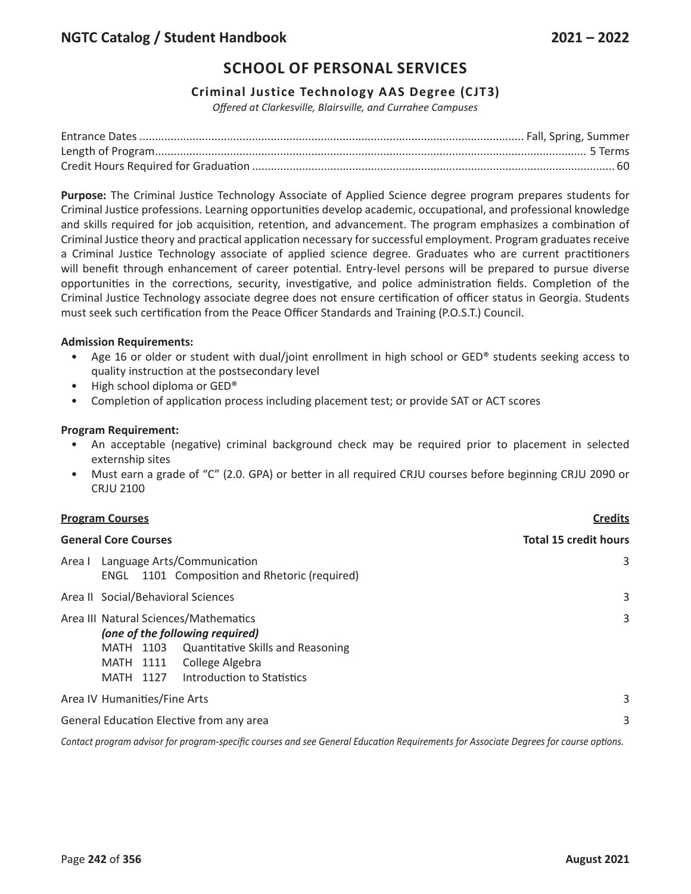## **Criminal Justice Technology AAS Degree (CJT3)**

*Offered at Clarkesville, Blairsville, and Currahee Campuses*

**Purpose:** The Criminal Justice Technology Associate of Applied Science degree program prepares students for Criminal Justice professions. Learning opportunities develop academic, occupational, and professional knowledge and skills required for job acquisition, retention, and advancement. The program emphasizes a combination of Criminal Justice theory and practical application necessary for successful employment. Program graduates receive a Criminal Justice Technology associate of applied science degree. Graduates who are current practitioners will benefit through enhancement of career potential. Entry-level persons will be prepared to pursue diverse opportunities in the corrections, security, investigative, and police administration fields. Completion of the Criminal Justice Technology associate degree does not ensure certification of officer status in Georgia. Students must seek such certification from the Peace Officer Standards and Training (P.O.S.T.) Council.

#### **Admission Requirements:**

- Age 16 or older or student with dual/joint enrollment in high school or GED® students seeking access to quality instruction at the postsecondary level
- High school diploma or GED®
- Completion of application process including placement test; or provide SAT or ACT scores

### **Program Requirement:**

- An acceptable (negative) criminal background check may be required prior to placement in selected externship sites
- Must earn a grade of "C" (2.0. GPA) or better in all required CRJU courses before beginning CRJU 2090 or CRJU 2100

# **Program Courses Credits General Core Courses Total 15 credit hours** Area I Language Arts/Communication 3 ENGL 1101 Composition and Rhetoric (required) Area II Social/Behavioral Sciences 3 Area III Natural Sciences/Mathematics 3 *(one of the following required)*  MATH 1103 Quantitative Skills and Reasoning MATH 1111 College Algebra MATH 1127 Introduction to Statistics Area IV Humanities/Fine Arts 3 General Education Elective from any area 33

Contact program advisor for program-specific courses and see General Education Requirements for Associate Degrees for course options.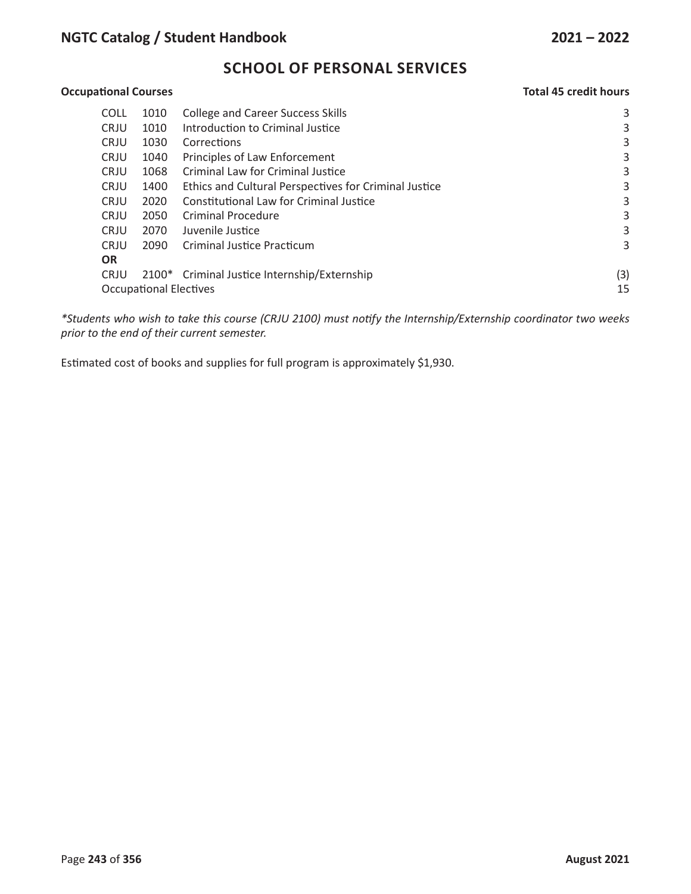## **Occupational Courses Total 45 credit hours**

| <b>COLL</b> | 1010                                | College and Career Success Skills                     | 3   |  |  |
|-------------|-------------------------------------|-------------------------------------------------------|-----|--|--|
| <b>CRJU</b> | 1010                                | Introduction to Criminal Justice                      | 3   |  |  |
| <b>CRJU</b> | 1030                                | Corrections                                           | 3   |  |  |
| <b>CRJU</b> | 1040                                | Principles of Law Enforcement                         | 3   |  |  |
| <b>CRJU</b> | 1068                                | Criminal Law for Criminal Justice                     | 3   |  |  |
| <b>CRJU</b> | 1400                                | Ethics and Cultural Perspectives for Criminal Justice | 3   |  |  |
| <b>CRJU</b> | 2020                                | Constitutional Law for Criminal Justice               | 3   |  |  |
| <b>CRJU</b> | 2050                                | <b>Criminal Procedure</b>                             | 3   |  |  |
| <b>CRJU</b> | 2070                                | Juvenile Justice                                      | 3   |  |  |
| <b>CRJU</b> | 2090                                | Criminal Justice Practicum                            | 3   |  |  |
| <b>OR</b>   |                                     |                                                       |     |  |  |
| <b>CRJU</b> |                                     | 2100* Criminal Justice Internship/Externship          | (3) |  |  |
|             | 15<br><b>Occupational Electives</b> |                                                       |     |  |  |
|             |                                     |                                                       |     |  |  |

*\*Students who wish to take this course (CRJU 2100) must notify the Internship/Externship coordinator two weeks prior to the end of their current semester.*

Estimated cost of books and supplies for full program is approximately \$1,930.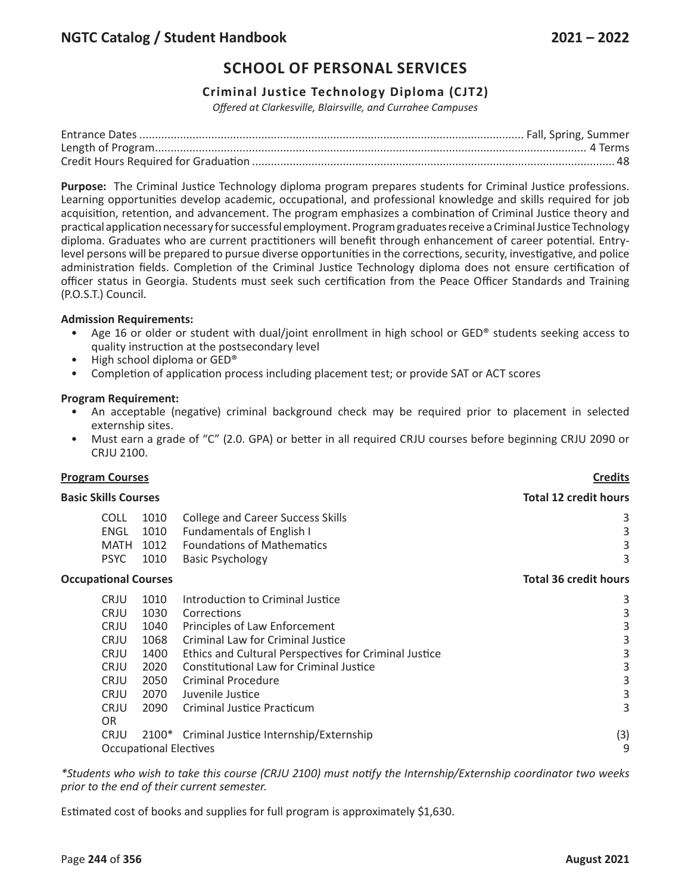## **Criminal Justice Technology Diploma (CJT2)**

*Offered at Clarkesville, Blairsville, and Currahee Campuses*

**Purpose:** The Criminal Justice Technology diploma program prepares students for Criminal Justice professions. Learning opportunities develop academic, occupational, and professional knowledge and skills required for job acquisition, retention, and advancement. The program emphasizes a combination of Criminal Justice theory and practical application necessary for successful employment. Program graduates receive a Criminal Justice Technology diploma. Graduates who are current practitioners will benefit through enhancement of career potential. Entrylevel persons will be prepared to pursue diverse opportunities in the corrections, security, investigative, and police administration fields. Completion of the Criminal Justice Technology diploma does not ensure certification of officer status in Georgia. Students must seek such certification from the Peace Officer Standards and Training (P.O.S.T.) Council.

#### **Admission Requirements:**

- Age 16 or older or student with dual/joint enrollment in high school or GED® students seeking access to quality instruction at the postsecondary level
- High school diploma or GED®
- Completion of application process including placement test; or provide SAT or ACT scores

#### **Program Requirement:**

- An acceptable (negative) criminal background check may be required prior to placement in selected externship sites.
- Must earn a grade of "C" (2.0. GPA) or better in all required CRJU courses before beginning CRJU 2090 or CRJU 2100.

# **Program Courses Credits Basic Skills Courses Total 12 credit hours** COLL 1010 College and Career Success Skills 3 3 ENGL 1010 Fundamentals of English I 3 MATH 1012 Foundations of Mathematics 3 PSYC 1010 Basic Psychology 3 3 **Occupational Courses Total 36 credit hours** CRJU 1010 Introduction to Criminal Justice 3 CRJU 1030 Corrections 3 CRJU 1040 Principles of Law Enforcement 3 CRJU 1068 Criminal Law for Criminal Justice 3 CRJU 1400 Ethics and Cultural Perspectives for Criminal Justice 3 CRJU 2020 Constitutional Law for Criminal Justice 3 CRJU 2050 Criminal Procedure 3 CRJU 2070 Juvenile Justice 3 CRJU 2090 Criminal Justice Practicum 3 OR CRJU 2100\* Criminal Justice Internship/Externship (3) Occupational Electives 9

*\*Students who wish to take this course (CRJU 2100) must notify the Internship/Externship coordinator two weeks prior to the end of their current semester.*

Estimated cost of books and supplies for full program is approximately \$1,630.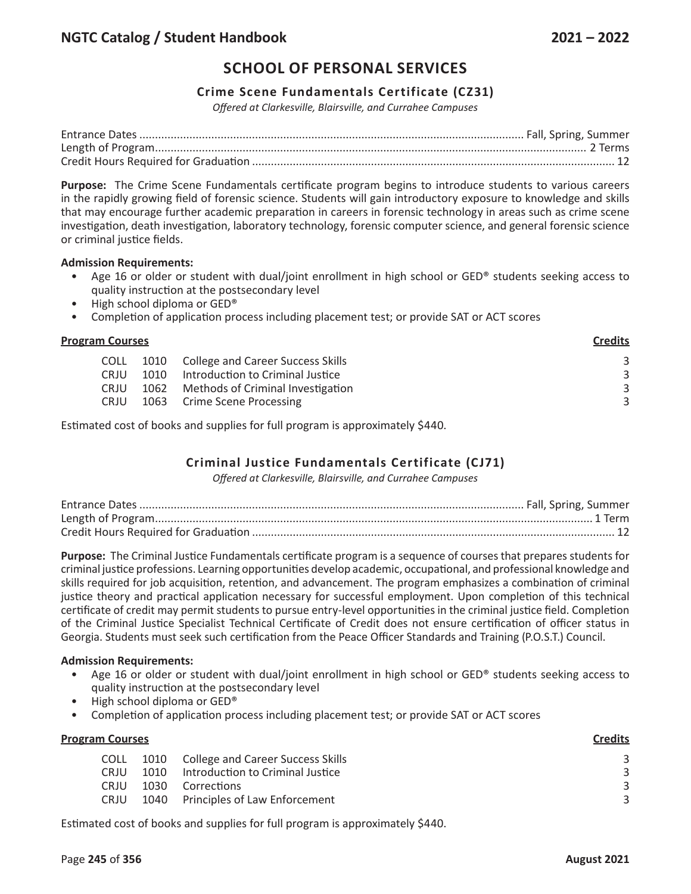## **Crime Scene Fundamentals Certificate (CZ31)**

*Offered at Clarkesville, Blairsville, and Currahee Campuses*

**Purpose:** The Crime Scene Fundamentals certificate program begins to introduce students to various careers in the rapidly growing field of forensic science. Students will gain introductory exposure to knowledge and skills that may encourage further academic preparation in careers in forensic technology in areas such as crime scene investigation, death investigation, laboratory technology, forensic computer science, and general forensic science or criminal justice fields.

#### **Admission Requirements:**

- Age 16 or older or student with dual/joint enrollment in high school or GED® students seeking access to quality instruction at the postsecondary level
- High school diploma or GED®
- Completion of application process including placement test; or provide SAT or ACT scores

| <b>Program Courses</b> |             |      | <b>Credits</b>                         |   |
|------------------------|-------------|------|----------------------------------------|---|
|                        | <b>COLL</b> |      | 1010 College and Career Success Skills | 3 |
|                        | <b>CRJU</b> | 1010 | Introduction to Criminal Justice       | 3 |
|                        | <b>CRJU</b> | 1062 | Methods of Criminal Investigation      | 3 |
|                        | <b>CRJU</b> |      | 1063 Crime Scene Processing            | 3 |
|                        |             |      |                                        |   |

Estimated cost of books and supplies for full program is approximately \$440.

# **Criminal Justice Fundamentals Certificate (CJ71)**

*Offered at Clarkesville, Blairsville, and Currahee Campuses*

**Purpose:** The Criminal Justice Fundamentals certificate program is a sequence of courses that prepares students for criminal justice professions. Learning opportunities develop academic, occupational, and professional knowledge and skills required for job acquisition, retention, and advancement. The program emphasizes a combination of criminal justice theory and practical application necessary for successful employment. Upon completion of this technical certificate of credit may permit students to pursue entry-level opportunities in the criminal justice field. Completion of the Criminal Justice Specialist Technical Certificate of Credit does not ensure certification of officer status in Georgia. Students must seek such certification from the Peace Officer Standards and Training (P.O.S.T.) Council.

#### **Admission Requirements:**

- Age 16 or older or student with dual/joint enrollment in high school or GED® students seeking access to quality instruction at the postsecondary level
- High school diploma or GED®
- Completion of application process including placement test; or provide SAT or ACT scores

| <b>Program Courses</b> |      |                                        | <b>Credits</b> |
|------------------------|------|----------------------------------------|----------------|
| <b>COLL</b>            |      | 1010 College and Career Success Skills |                |
| <b>CRIU</b>            | 1010 | Introduction to Criminal Justice       | 3              |
| <b>CRIU</b>            | 1030 | Corrections                            | 3              |
| <b>CRJU</b>            |      | 1040 Principles of Law Enforcement     | 3              |
|                        |      |                                        |                |

Estimated cost of books and supplies for full program is approximately \$440.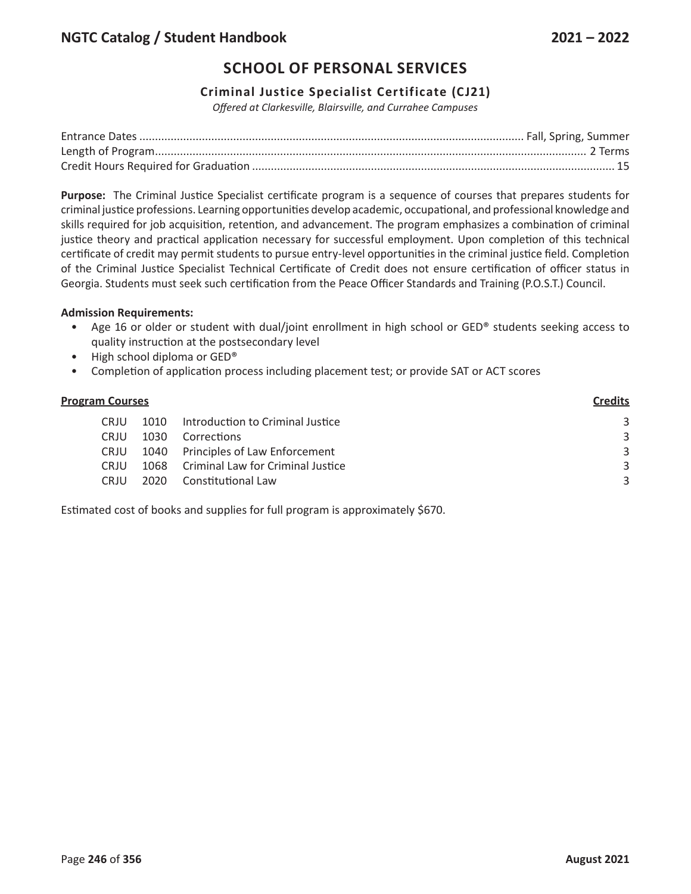## **Criminal Justice Specialist Certificate (CJ21)**

*Offered at Clarkesville, Blairsville, and Currahee Campuses*

**Purpose:** The Criminal Justice Specialist certificate program is a sequence of courses that prepares students for criminal justice professions. Learning opportunities develop academic, occupational, and professional knowledge and skills required for job acquisition, retention, and advancement. The program emphasizes a combination of criminal justice theory and practical application necessary for successful employment. Upon completion of this technical certificate of credit may permit students to pursue entry-level opportunities in the criminal justice field. Completion of the Criminal Justice Specialist Technical Certificate of Credit does not ensure certification of officer status in Georgia. Students must seek such certification from the Peace Officer Standards and Training (P.O.S.T.) Council.

## **Admission Requirements:**

- Age 16 or older or student with dual/joint enrollment in high school or GED® students seeking access to quality instruction at the postsecondary level
- High school diploma or GED®
- Completion of application process including placement test; or provide SAT or ACT scores

| <b>Program Courses</b> |             |      | <b>Credits</b>                         |   |
|------------------------|-------------|------|----------------------------------------|---|
|                        | CRJU        | 1010 | Introduction to Criminal Justice       | 3 |
|                        | CRJU        | 1030 | Corrections                            | 3 |
|                        | <b>CRJU</b> |      | 1040 Principles of Law Enforcement     | 3 |
|                        | <b>CRIU</b> |      | 1068 Criminal Law for Criminal Justice | 3 |
|                        | CRJU        | 2020 | Constitutional Law                     | 3 |
|                        |             |      |                                        |   |

Estimated cost of books and supplies for full program is approximately \$670.